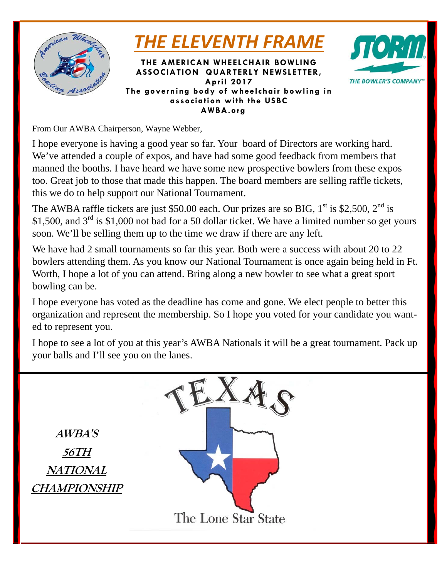

*THE ELEVENTH FRAME*

**THE AMERICAN WHEELCHAIR BOWLING ASSOCIATION QUARTERLY NEWSLETTER, April 2017 The governing body of wheelchair bowling in association with the USBC AWBA.org** 



From Our AWBA Chairperson, Wayne Webber,

I hope everyone is having a good year so far. Your board of Directors are working hard. We've attended a couple of expos, and have had some good feedback from members that manned the booths. I have heard we have some new prospective bowlers from these expos too. Great job to those that made this happen. The board members are selling raffle tickets, this we do to help support our National Tournament.

The AWBA raffle tickets are just \$50.00 each. Our prizes are so BIG,  $1<sup>st</sup>$  is \$2,500,  $2<sup>nd</sup>$  is \$1,500, and  $3<sup>rd</sup>$  is \$1,000 not bad for a 50 dollar ticket. We have a limited number so get yours soon. We'll be selling them up to the time we draw if there are any left.

We have had 2 small tournaments so far this year. Both were a success with about 20 to 22 bowlers attending them. As you know our National Tournament is once again being held in Ft. Worth, I hope a lot of you can attend. Bring along a new bowler to see what a great sport bowling can be.

I hope everyone has voted as the deadline has come and gone. We elect people to better this organization and represent the membership. So I hope you voted for your candidate you wanted to represent you.

I hope to see a lot of you at this year's AWBA Nationals it will be a great tournament. Pack up your balls and I'll see you on the lanes.

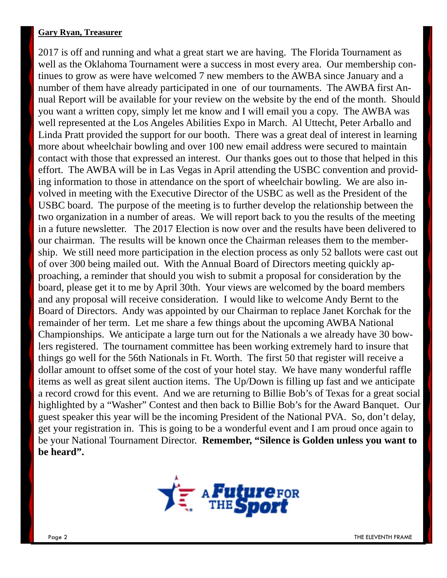#### **Gary Ryan, Treasurer**

2017 is off and running and what a great start we are having. The Florida Tournament as well as the Oklahoma Tournament were a success in most every area. Our membership continues to grow as were have welcomed 7 new members to the AWBA since January and a number of them have already participated in one of our tournaments. The AWBA first Annual Report will be available for your review on the website by the end of the month. Should you want a written copy, simply let me know and I will email you a copy. The AWBA was well represented at the Los Angeles Abilities Expo in March. Al Uttecht, Peter Arballo and Linda Pratt provided the support for our booth. There was a great deal of interest in learning more about wheelchair bowling and over 100 new email address were secured to maintain contact with those that expressed an interest. Our thanks goes out to those that helped in this effort. The AWBA will be in Las Vegas in April attending the USBC convention and providing information to those in attendance on the sport of wheelchair bowling. We are also involved in meeting with the Executive Director of the USBC as well as the President of the USBC board. The purpose of the meeting is to further develop the relationship between the two organization in a number of areas. We will report back to you the results of the meeting in a future newsletter. The 2017 Election is now over and the results have been delivered to our chairman. The results will be known once the Chairman releases them to the membership. We still need more participation in the election process as only 52 ballots were cast out of over 300 being mailed out. With the Annual Board of Directors meeting quickly approaching, a reminder that should you wish to submit a proposal for consideration by the board, please get it to me by April 30th. Your views are welcomed by the board members and any proposal will receive consideration. I would like to welcome Andy Bernt to the Board of Directors. Andy was appointed by our Chairman to replace Janet Korchak for the remainder of her term. Let me share a few things about the upcoming AWBA National Championships. We anticipate a large turn out for the Nationals a we already have 30 bowlers registered. The tournament committee has been working extremely hard to insure that things go well for the 56th Nationals in Ft. Worth. The first 50 that register will receive a dollar amount to offset some of the cost of your hotel stay. We have many wonderful raffle items as well as great silent auction items. The Up/Down is filling up fast and we anticipate a record crowd for this event. And we are returning to Billie Bob's of Texas for a great social highlighted by a "Washer" Contest and then back to Billie Bob's for the Award Banquet. Our guest speaker this year will be the incoming President of the National PVA. So, don't delay, get your registration in. This is going to be a wonderful event and I am proud once again to be your National Tournament Director. **Remember, "Silence is Golden unless you want to be heard".** 

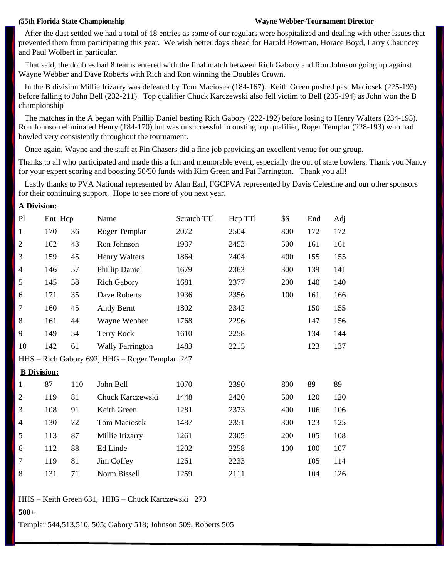**A Division:** 

 After the dust settled we had a total of 18 entries as some of our regulars were hospitalized and dealing with other issues that prevented them from participating this year. We wish better days ahead for Harold Bowman, Horace Boyd, Larry Chauncey and Paul Wolbert in particular.

 That said, the doubles had 8 teams entered with the final match between Rich Gabory and Ron Johnson going up against Wayne Webber and Dave Roberts with Rich and Ron winning the Doubles Crown.

 In the B division Millie Irizarry was defeated by Tom Maciosek (184-167). Keith Green pushed past Maciosek (225-193) before falling to John Bell (232-211). Top qualifier Chuck Karczewski also fell victim to Bell (235-194) as John won the B championship

 The matches in the A began with Phillip Daniel besting Rich Gabory (222-192) before losing to Henry Walters (234-195). Ron Johnson eliminated Henry (184-170) but was unsuccessful in ousting top qualifier, Roger Templar (228-193) who had bowled very consistently throughout the tournament.

Once again, Wayne and the staff at Pin Chasers did a fine job providing an excellent venue for our group.

Thanks to all who participated and made this a fun and memorable event, especially the out of state bowlers. Thank you Nancy for your expert scoring and boosting 50/50 funds with Kim Green and Pat Farrington. Thank you all!

 Lastly thanks to PVA National represented by Alan Earl, FGCPVA represented by Davis Celestine and our other sponsors for their continuing support. Hope to see more of you next year.

| л рітвіон.       |                    |     |                                                |             |         |      |     |     |
|------------------|--------------------|-----|------------------------------------------------|-------------|---------|------|-----|-----|
| P1               | Ent Hcp            |     | Name                                           | Scratch TTl | Hcp TTl | \$\$ | End | Adj |
| $\mathbf{1}$     | 170                | 36  | Roger Templar                                  | 2072        | 2504    | 800  | 172 | 172 |
| $\mathfrak{2}$   | 162                | 43  | Ron Johnson                                    | 1937        | 2453    | 500  | 161 | 161 |
| 3                | 159                | 45  | <b>Henry Walters</b>                           | 1864        | 2404    | 400  | 155 | 155 |
| 4                | 146                | 57  | <b>Phillip Daniel</b>                          | 1679        | 2363    | 300  | 139 | 141 |
| 5                | 145                | 58  | <b>Rich Gabory</b>                             | 1681        | 2377    | 200  | 140 | 140 |
| 6                | 171                | 35  | Dave Roberts                                   | 1936        | 2356    | 100  | 161 | 166 |
| $\boldsymbol{7}$ | 160                | 45  | Andy Bernt                                     | 1802        | 2342    |      | 150 | 155 |
| 8                | 161                | 44  | Wayne Webber                                   | 1768        | 2296    |      | 147 | 156 |
| 9                | 149                | 54  | <b>Terry Rock</b>                              | 1610        | 2258    |      | 134 | 144 |
| 10               | 142                | 61  | <b>Wally Farrington</b>                        | 1483        | 2215    |      | 123 | 137 |
|                  |                    |     | HHS - Rich Gabory 692, HHG - Roger Templar 247 |             |         |      |     |     |
|                  | <b>B</b> Division: |     |                                                |             |         |      |     |     |
| $\mathbf{1}$     | 87                 | 110 | John Bell                                      | 1070        | 2390    | 800  | 89  | 89  |
| $\overline{2}$   | 119                | 81  | Chuck Karczewski                               | 1448        | 2420    | 500  | 120 | 120 |
| 3                | 108                | 91  | Keith Green                                    | 1281        | 2373    | 400  | 106 | 106 |
| $\overline{4}$   | 130                | 72  | Tom Maciosek                                   | 1487        | 2351    | 300  | 123 | 125 |
| 5                | 113                | 87  | Millie Irizarry                                | 1261        | 2305    | 200  | 105 | 108 |
| 6                | 112                | 88  | Ed Linde                                       | 1202        | 2258    | 100  | 100 | 107 |
| 7                | 119                | 81  | Jim Coffey                                     | 1261        | 2233    |      | 105 | 114 |
| 8                | 131                | 71  | Norm Bissell                                   | 1259        | 2111    |      | 104 | 126 |

HHS – Keith Green 631, HHG – Chuck Karczewski 270

#### **500+**

Templar 544,513,510, 505; Gabory 518; Johnson 509, Roberts 505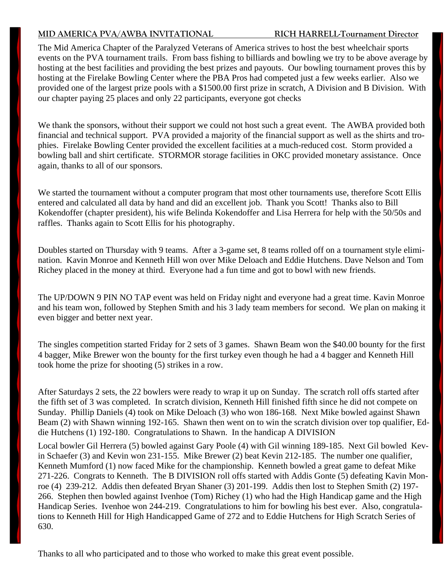#### **MID AMERICA PVA/AWBA INVITATIONAL RICH HARRELL-Tournament Director**

The Mid America Chapter of the Paralyzed Veterans of America strives to host the best wheelchair sports events on the PVA tournament trails. From bass fishing to billiards and bowling we try to be above average by hosting at the best facilities and providing the best prizes and payouts. Our bowling tournament proves this by hosting at the Firelake Bowling Center where the PBA Pros had competed just a few weeks earlier. Also we provided one of the largest prize pools with a \$1500.00 first prize in scratch, A Division and B Division. With our chapter paying 25 places and only 22 participants, everyone got checks

We thank the sponsors, without their support we could not host such a great event. The AWBA provided both financial and technical support. PVA provided a majority of the financial support as well as the shirts and trophies. Firelake Bowling Center provided the excellent facilities at a much-reduced cost. Storm provided a bowling ball and shirt certificate. STORMOR storage facilities in OKC provided monetary assistance. Once again, thanks to all of our sponsors.

We started the tournament without a computer program that most other tournaments use, therefore Scott Ellis entered and calculated all data by hand and did an excellent job. Thank you Scott! Thanks also to Bill Kokendoffer (chapter president), his wife Belinda Kokendoffer and Lisa Herrera for help with the 50/50s and raffles. Thanks again to Scott Ellis for his photography.

Doubles started on Thursday with 9 teams. After a 3-game set, 8 teams rolled off on a tournament style elimination. Kavin Monroe and Kenneth Hill won over Mike Deloach and Eddie Hutchens. Dave Nelson and Tom Richey placed in the money at third. Everyone had a fun time and got to bowl with new friends.

The UP/DOWN 9 PIN NO TAP event was held on Friday night and everyone had a great time. Kavin Monroe and his team won, followed by Stephen Smith and his 3 lady team members for second. We plan on making it even bigger and better next year.

The singles competition started Friday for 2 sets of 3 games. Shawn Beam won the \$40.00 bounty for the first 4 bagger, Mike Brewer won the bounty for the first turkey even though he had a 4 bagger and Kenneth Hill took home the prize for shooting (5) strikes in a row.

After Saturdays 2 sets, the 22 bowlers were ready to wrap it up on Sunday. The scratch roll offs started after the fifth set of 3 was completed. In scratch division, Kenneth Hill finished fifth since he did not compete on Sunday. Phillip Daniels (4) took on Mike Deloach (3) who won 186-168. Next Mike bowled against Shawn Beam (2) with Shawn winning 192-165. Shawn then went on to win the scratch division over top qualifier, Eddie Hutchens (1) 192-180. Congratulations to Shawn. In the handicap A DIVISION

Local bowler Gil Herrera (5) bowled against Gary Poole (4) with Gil winning 189-185. Next Gil bowled Kevin Schaefer (3) and Kevin won 231-155. Mike Brewer (2) beat Kevin 212-185. The number one qualifier, Kenneth Mumford (1) now faced Mike for the championship. Kenneth bowled a great game to defeat Mike 271-226. Congrats to Kenneth. The B DIVISION roll offs started with Addis Gonte (5) defeating Kavin Monroe (4) 239-212. Addis then defeated Bryan Shaner (3) 201-199. Addis then lost to Stephen Smith (2) 197- 266. Stephen then bowled against Ivenhoe (Tom) Richey (1) who had the High Handicap game and the High Handicap Series. Ivenhoe won 244-219. Congratulations to him for bowling his best ever. Also, congratulations to Kenneth Hill for High Handicapped Game of 272 and to Eddie Hutchens for High Scratch Series of 630.

Thanks to all who participated and to those who worked to make this great event possible.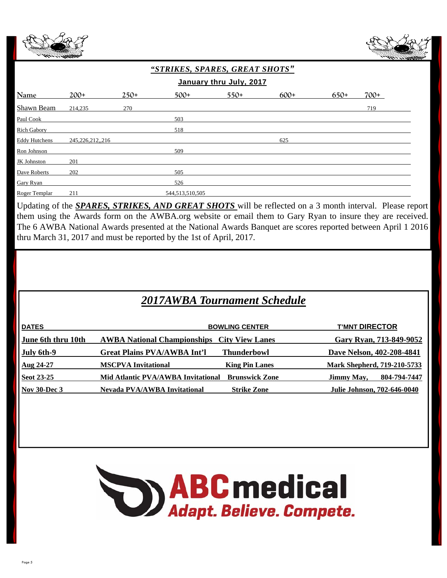



| "STRIKES, SPARES, GREAT SHOTS" |                    |        |                 |        |        |        |        |  |
|--------------------------------|--------------------|--------|-----------------|--------|--------|--------|--------|--|
| January thru July, 2017        |                    |        |                 |        |        |        |        |  |
| <b>Name</b>                    | $200+$             | $250+$ | $500+$          | $550+$ | $600+$ | $650+$ | $700+$ |  |
| Shawn Beam                     | 214,235            | 270    |                 |        |        |        | 719    |  |
| Paul Cook                      |                    |        | 503             |        |        |        |        |  |
| <b>Rich Gabory</b>             |                    |        | 518             |        |        |        |        |  |
| <b>Eddy Hutchens</b>           | 245, 226, 212, 216 |        |                 |        | 625    |        |        |  |
| Ron Johnson                    |                    |        | 509             |        |        |        |        |  |
| <b>JK</b> Johnston             | 201                |        |                 |        |        |        |        |  |
| Dave Roberts                   | 202                |        | 505             |        |        |        |        |  |
| Gary Ryan                      |                    |        | 526             |        |        |        |        |  |
| Roger Templar                  | 211                |        | 544,513,510,505 |        |        |        |        |  |

Updating of the *SPARES, STRIKES, AND GREAT SHOTS* will be reflected on a 3 month interval. Please report them using the Awards form on the AWBA.org website or email them to Gary Ryan to insure they are received. The 6 AWBA National Awards presented at the National Awards Banquet are scores reported between April 1 2016 thru March 31, 2017 and must be reported by the 1st of April, 2017.

# *2017AWBA Tournament Schedule*

| <b>DATES</b>        | <b>BOWLING CENTER</b>                                       | <b>T'MNT DIRECTOR</b>       |
|---------------------|-------------------------------------------------------------|-----------------------------|
| June 6th thru 10th  | <b>AWBA National Championships City View Lanes</b>          | Gary Ryan, 713-849-9052     |
| July 6th-9          | <b>Thunderbowl</b><br><b>Great Plains PVA/AWBA Int'l</b>    | Dave Nelson, 402-208-4841   |
| Aug 24-27           | <b>MSCPVA Invitational</b><br><b>King Pin Lanes</b>         | Mark Shepherd, 719-210-5733 |
| Seot 23-25          | <b>Brunswick Zone</b><br>Mid Atlantic PVA/AWBA Invitational | 804-794-7447<br>Jimmy May,  |
| <b>Nov 30-Dec 3</b> | Nevada PVA/AWBA Invitational<br><b>Strike Zone</b>          | Julie Johnson, 702-646-0040 |

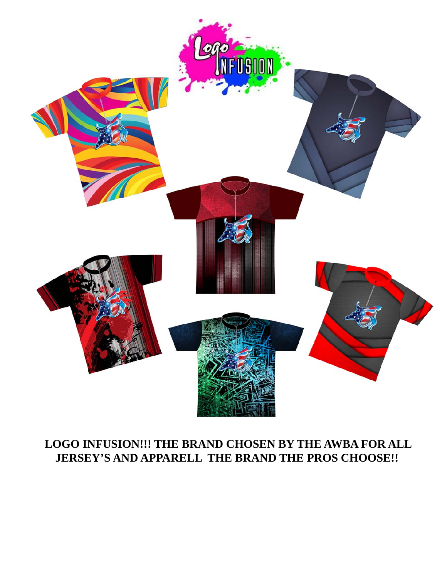

# **LOGO INFUSION!!! THE BRAND CHOSEN BY THE AWBA FOR ALL JERSEY'S AND APPARELL THE BRAND THE PROS CHOOSE!!**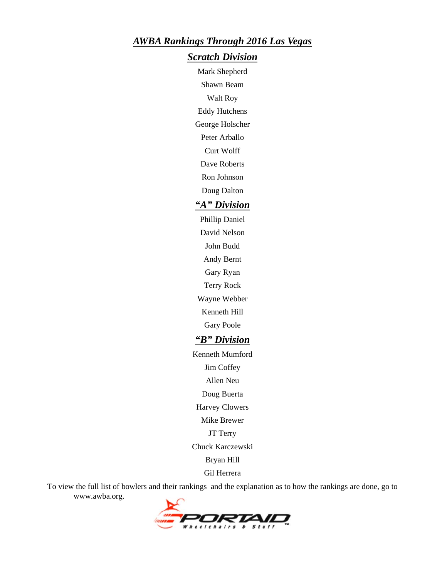#### *AWBA Rankings Through 2016 Las Vegas*

#### *Scratch Division*

Mark Shepherd Shawn Beam

Walt Roy

Eddy Hutchens

George Holscher

Peter Arballo

Curt Wolff

Dave Roberts

Ron Johnson

Doug Dalton

#### *"A" Division*

Phillip Daniel David Nelson John Budd Andy Bernt Gary Ryan Terry Rock Wayne Webber Kenneth Hill

Gary Poole

### *"B" Division*

Kenneth Mumford Jim Coffey Allen Neu Doug Buerta

Harvey Clowers

Mike Brewer

JT Terry

Chuck Karczewski

Bryan Hill

Gil Herrera

To view the full list of bowlers and their rankings and the explanation as to how the rankings are done, go to www.awba.org.

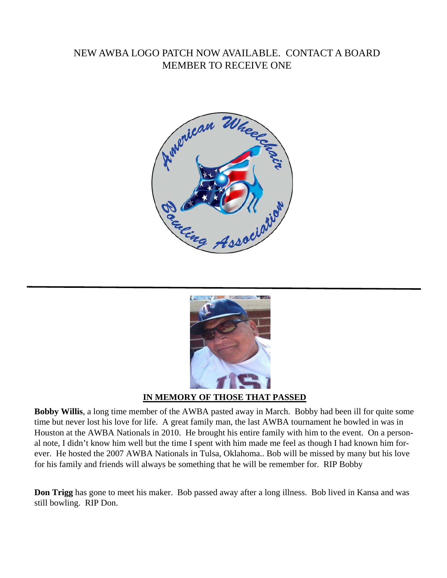### NEW AWBA LOGO PATCH NOW AVAILABLE. CONTACT A BOARD MEMBER TO RECEIVE ONE





#### **IN MEMORY OF THOSE THAT PASSED**

**Bobby Willis**, a long time member of the AWBA pasted away in March. Bobby had been ill for quite some time but never lost his love for life. A great family man, the last AWBA tournament he bowled in was in Houston at the AWBA Nationals in 2010. He brought his entire family with him to the event. On a personal note, I didn't know him well but the time I spent with him made me feel as though I had known him forever. He hosted the 2007 AWBA Nationals in Tulsa, Oklahoma.. Bob will be missed by many but his love for his family and friends will always be something that he will be remember for. RIP Bobby

**Don Trigg** has gone to meet his maker. Bob passed away after a long illness. Bob lived in Kansa and was still bowling. RIP Don.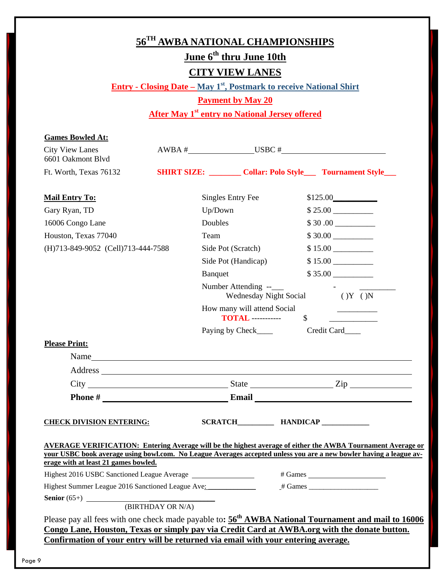| 56 <sup>TH</sup> AWBA NATIONAL CHAMPIONSHIPS<br>June 6 <sup>th</sup> thru June 10th                                                                                                                             |  |                                                                         |                           |                             |  |  |  |  |
|-----------------------------------------------------------------------------------------------------------------------------------------------------------------------------------------------------------------|--|-------------------------------------------------------------------------|---------------------------|-----------------------------|--|--|--|--|
| <b>CITY VIEW LANES</b>                                                                                                                                                                                          |  |                                                                         |                           |                             |  |  |  |  |
| <b>Entry - Closing Date – May 1st, Postmark to receive National Shirt</b>                                                                                                                                       |  |                                                                         |                           |                             |  |  |  |  |
| <b>Payment by May 20</b>                                                                                                                                                                                        |  |                                                                         |                           |                             |  |  |  |  |
|                                                                                                                                                                                                                 |  | <b>After May 1st entry no National Jersey offered</b>                   |                           |                             |  |  |  |  |
|                                                                                                                                                                                                                 |  |                                                                         |                           |                             |  |  |  |  |
| <b>Games Bowled At:</b><br>$\text{AWBA} \#$ USBC $\#$                                                                                                                                                           |  |                                                                         |                           |                             |  |  |  |  |
| <b>City View Lanes</b><br>6601 Oakmont Blvd                                                                                                                                                                     |  |                                                                         |                           |                             |  |  |  |  |
| Ft. Worth, Texas 76132                                                                                                                                                                                          |  | <b>SHIRT SIZE:</b> _________ Collar: Polo Style____ Tournament Style___ |                           |                             |  |  |  |  |
| <b>Mail Entry To:</b>                                                                                                                                                                                           |  | Singles Entry Fee                                                       |                           | \$125.00                    |  |  |  |  |
| Gary Ryan, TD                                                                                                                                                                                                   |  | Up/Down                                                                 |                           |                             |  |  |  |  |
| 16006 Congo Lane                                                                                                                                                                                                |  | Doubles                                                                 |                           |                             |  |  |  |  |
| Houston, Texas 77040                                                                                                                                                                                            |  | Team                                                                    |                           | \$30.00                     |  |  |  |  |
| (H)713-849-9052 (Cell)713-444-7588                                                                                                                                                                              |  | Side Pot (Scratch)                                                      |                           |                             |  |  |  |  |
|                                                                                                                                                                                                                 |  | Side Pot (Handicap)                                                     |                           | $$15.00$ $\qquad$           |  |  |  |  |
|                                                                                                                                                                                                                 |  | Banquet                                                                 |                           | $$35.00$ $\qquad$           |  |  |  |  |
|                                                                                                                                                                                                                 |  | Number Attending --___<br>Wednesday Night Social                        |                           | (Y (X))                     |  |  |  |  |
|                                                                                                                                                                                                                 |  | How many will attend Social<br><b>TOTAL</b> -----------                 | $\boldsymbol{\mathsf{S}}$ |                             |  |  |  |  |
|                                                                                                                                                                                                                 |  | Paying by Check_____                                                    |                           | Credit Card____             |  |  |  |  |
| <b>Please Print:</b>                                                                                                                                                                                            |  |                                                                         |                           |                             |  |  |  |  |
| Name                                                                                                                                                                                                            |  |                                                                         |                           |                             |  |  |  |  |
|                                                                                                                                                                                                                 |  |                                                                         |                           |                             |  |  |  |  |
|                                                                                                                                                                                                                 |  |                                                                         |                           | $City$ $City$ $Size$ $Size$ |  |  |  |  |
|                                                                                                                                                                                                                 |  |                                                                         |                           |                             |  |  |  |  |
| <b>CHECK DIVISION ENTERING:</b>                                                                                                                                                                                 |  | SCRATCH HANDICAP                                                        |                           |                             |  |  |  |  |
| <b>AVERAGE VERIFICATION: Entering Average will be the highest average of either the AWBA Tournament Average or</b>                                                                                              |  |                                                                         |                           |                             |  |  |  |  |
| your USBC book average using bowl.com. No League Averages accepted unless you are a new bowler having a league av-                                                                                              |  |                                                                         |                           |                             |  |  |  |  |
| erage with at least 21 games bowled.<br>Highest 2016 USBC Sanctioned League Average ________________                                                                                                            |  |                                                                         |                           |                             |  |  |  |  |
|                                                                                                                                                                                                                 |  |                                                                         |                           |                             |  |  |  |  |
| Highest Summer League 2016 Sanctioned League Ave:                                                                                                                                                               |  |                                                                         |                           |                             |  |  |  |  |
| Senior $(65+)$ (BIRTHDAY OR N/A)                                                                                                                                                                                |  |                                                                         |                           |                             |  |  |  |  |
| Please pay all fees with one check made payable to: 56 <sup>th</sup> AWBA National Tournament and mail to 16006<br>Congo Lane, Houston, Texas or simply pay via Credit Card at AWBA.org with the donate button. |  |                                                                         |                           |                             |  |  |  |  |
| Confirmation of your entry will be returned via email with your entering average.                                                                                                                               |  |                                                                         |                           |                             |  |  |  |  |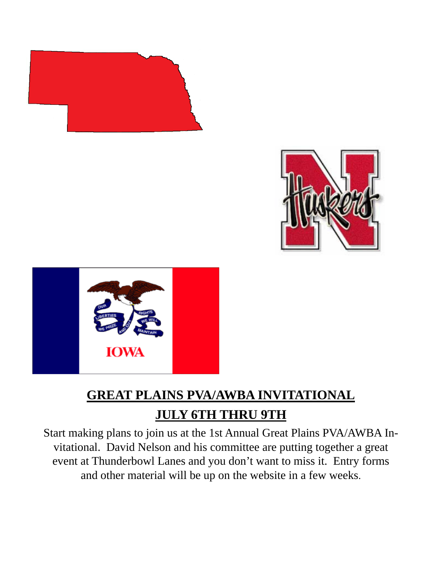





# **GREAT PLAINS PVA/AWBA INVITATIONAL JULY 6TH THRU 9TH**

Start making plans to join us at the 1st Annual Great Plains PVA/AWBA Invitational. David Nelson and his committee are putting together a great event at Thunderbowl Lanes and you don't want to miss it. Entry forms and other material will be up on the website in a few weeks.